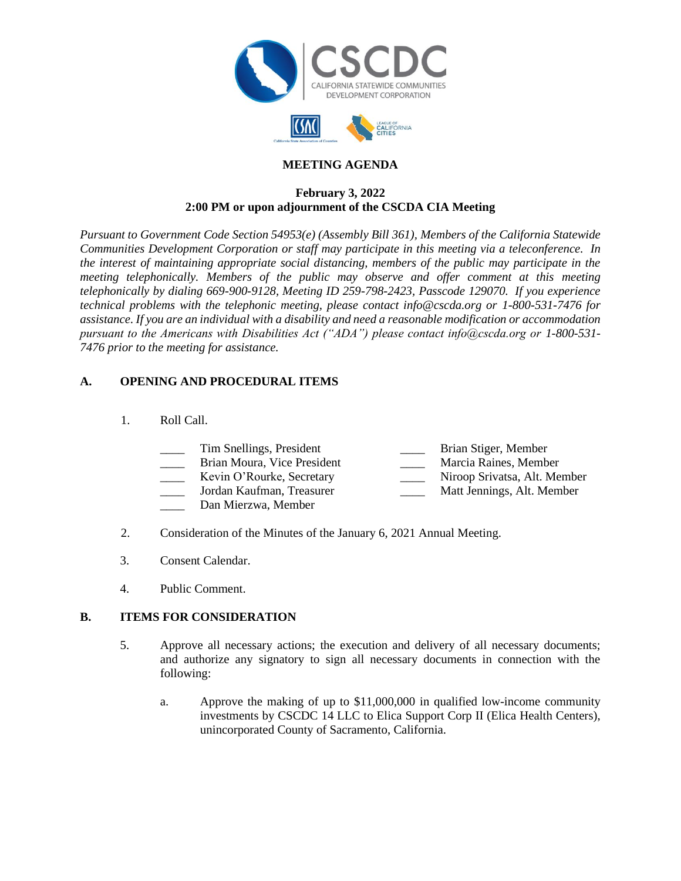



# **MEETING AGENDA**

#### **February 3, 2022 2:00 PM or upon adjournment of the CSCDA CIA Meeting**

*Pursuant to Government Code Section 54953(e) (Assembly Bill 361), Members of the California Statewide Communities Development Corporation or staff may participate in this meeting via a teleconference. In the interest of maintaining appropriate social distancing, members of the public may participate in the meeting telephonically. Members of the public may observe and offer comment at this meeting telephonically by dialing 669-900-9128, Meeting ID 259-798-2423, Passcode 129070. If you experience technical problems with the telephonic meeting, please contact info@cscda.org or 1-800-531-7476 for assistance. If you are an individual with a disability and need a reasonable modification or accommodation pursuant to the Americans with Disabilities Act ("ADA") please contact info@cscda.org or 1-800-531- 7476 prior to the meeting for assistance.*

# **A. OPENING AND PROCEDURAL ITEMS**

#### 1. Roll Call.

| Tim Snellings, President    | Brian Stiger, Member         |
|-----------------------------|------------------------------|
| Brian Moura, Vice President | Marcia Raines, Member        |
| Kevin O'Rourke, Secretary   | Niroop Srivatsa, Alt. Member |

- \_\_\_\_ Jordan Kaufman, Treasurer \_\_\_\_ Matt Jennings, Alt. Member
- Dan Mierzwa, Member
- 
- 2. Consideration of the Minutes of the January 6, 2021 Annual Meeting.
- 3. Consent Calendar.
- 4. Public Comment.

#### **B. ITEMS FOR CONSIDERATION**

- 5. Approve all necessary actions; the execution and delivery of all necessary documents; and authorize any signatory to sign all necessary documents in connection with the following:
	- a. Approve the making of up to \$11,000,000 in qualified low-income community investments by CSCDC 14 LLC to Elica Support Corp II (Elica Health Centers), unincorporated County of Sacramento, California.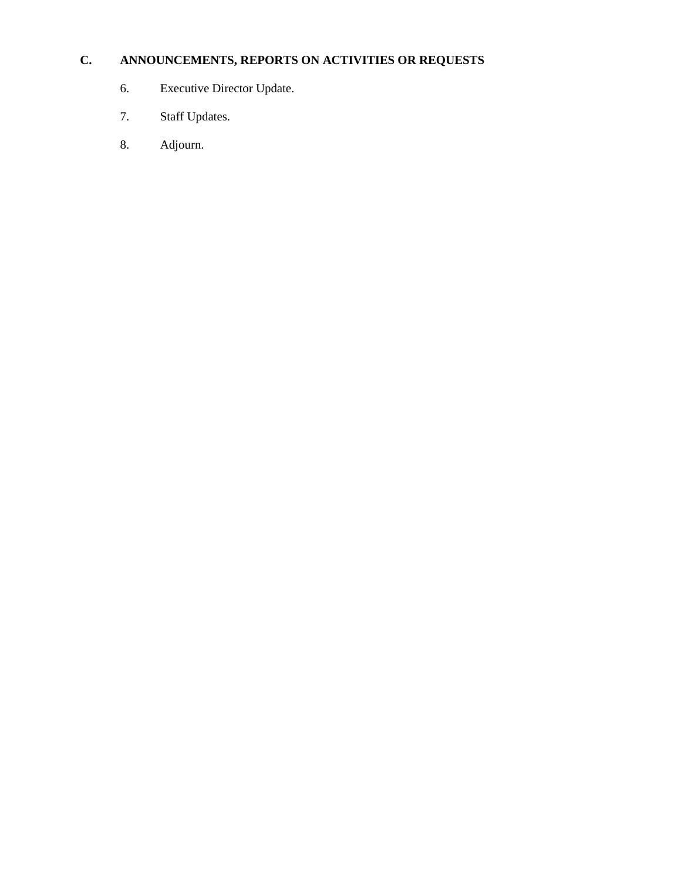# **C. ANNOUNCEMENTS, REPORTS ON ACTIVITIES OR REQUESTS**

- 6. Executive Director Update.
- 7. Staff Updates.
- 8. Adjourn.